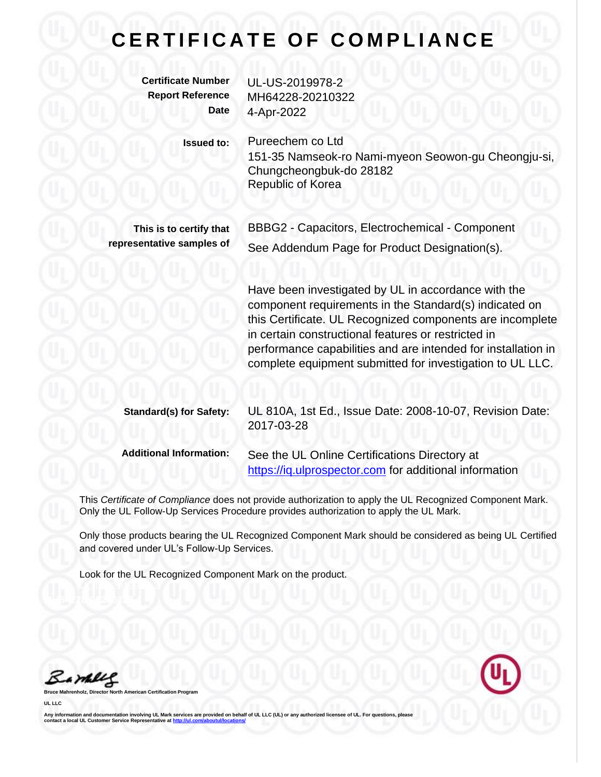## **CERTIFICATE OF COMPLIANCE**

| <b>Certificate Number</b> | UL-US-2019978-2                                                                                                         |
|---------------------------|-------------------------------------------------------------------------------------------------------------------------|
| <b>Report Reference</b>   | MH64228-20210322                                                                                                        |
| <b>Date</b>               | 4-Apr-2022                                                                                                              |
| <b>Issued to:</b>         | Pureechem co Ltd<br>151-35 Namseok-ro Nami-myeon Seowon-gu Cheongju-si,<br>Chungcheongbuk-do 28182<br>Republic of Korea |
| This is to certify that   | BBBG2 - Capacitors, Electrochemical - Component                                                                         |
| representative samples of | See Addendum Page for Product Designation(s).                                                                           |

Have been investigated by UL in accordance with the component requirements in the Standard(s) indicated on this Certificate. UL Recognized components are incomplete in certain constructional features or restricted in performance capabilities and are intended for installation in complete equipment submitted for investigation to UL LLC.

| <b>Standard(s) for Safety:</b> | UL 810A, 1st Ed., Issue Date: 2008-10-07, Revision Date:<br>2017-03-28                                  |
|--------------------------------|---------------------------------------------------------------------------------------------------------|
| <b>Additional Information:</b> | See the UL Online Certifications Directory at<br>https://iq.ulprospector.com for additional information |

This *Certificate of Compliance* does not provide authorization to apply the UL Recognized Component Mark. Only the UL Follow-Up Services Procedure provides authorization to apply the UL Mark.

Only those products bearing the UL Recognized Component Mark should be considered as being UL Certified and covered under UL's Follow-Up Services.

Look for the UL Recognized Component Mark on the product.

Bambles

**Bruce Mahrenholz, Director North American Certification Program**

**UL LLC**

Any information and documentation involving UL Mark services are provided on behalf of UL LLC (UL) or any authorized licensee of UL. For questions, please<br>contact a local UL Customer Service Representative at <u>http://ul.co</u>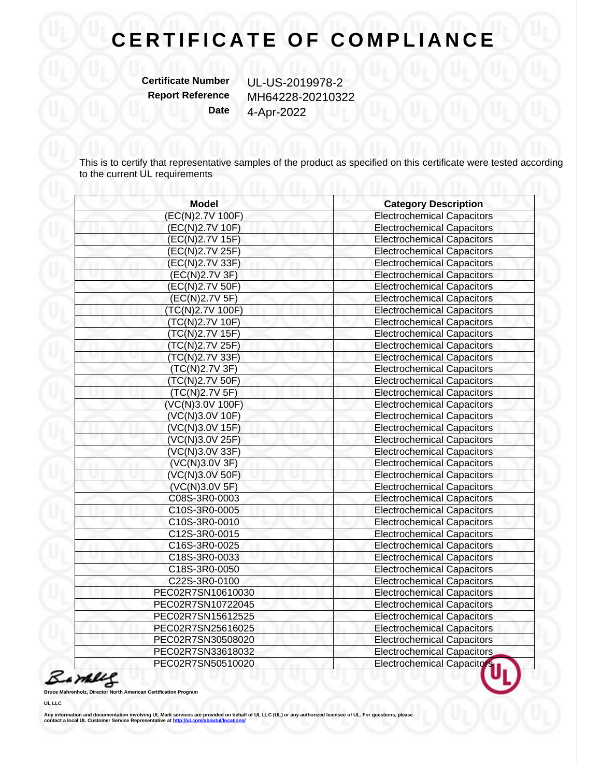## **CERTIFICATE OF COMPLIANCE**

**Certificate Number** UL-US-2019978-2

**Report Reference** MH64228-20210322 **Date** 4-Apr-2022

This is to certify that representative samples of the product as specified on this certificate were tested according to the current UL requirements

| <b>Model</b>      | <b>Category Description</b>       |
|-------------------|-----------------------------------|
| (EC(N)2.7V 100F)  | <b>Electrochemical Capacitors</b> |
| (EC(N)2.7V 10F)   | <b>Electrochemical Capacitors</b> |
| (EC(N)2.7V 15F)   | <b>Electrochemical Capacitors</b> |
| (EC(N)2.7V 25F)   | <b>Electrochemical Capacitors</b> |
| (EC(N)2.7V 33F)   | <b>Electrochemical Capacitors</b> |
| (EC(N)2.7V 3F)    | <b>Electrochemical Capacitors</b> |
| (EC(N)2.7V 50F)   | <b>Electrochemical Capacitors</b> |
| (EC(N)2.7V 5F)    | <b>Electrochemical Capacitors</b> |
| (TC(N)2.7V 100F)  | <b>Electrochemical Capacitors</b> |
| (TC(N)2.7V 10F)   | <b>Electrochemical Capacitors</b> |
| (TC(N)2.7V 15F)   | <b>Electrochemical Capacitors</b> |
| (TC(N)2.7V 25F)   | <b>Electrochemical Capacitors</b> |
| (TC(N)2.7V 33F)   | <b>Electrochemical Capacitors</b> |
| (TC(N)2.7V 3F)    | <b>Electrochemical Capacitors</b> |
| (TC(N)2.7V 50F)   | <b>Electrochemical Capacitors</b> |
| (TC(N)2.7V 5F)    | <b>Electrochemical Capacitors</b> |
| (VC(N)3.0V 100F)  | <b>Electrochemical Capacitors</b> |
| (VC(N)3.0V 10F)   | <b>Electrochemical Capacitors</b> |
| (VC(N)3.0V 15F)   | <b>Electrochemical Capacitors</b> |
| (VC(N)3.0V 25F)   | <b>Electrochemical Capacitors</b> |
| (VC(N)3.0V 33F)   | <b>Electrochemical Capacitors</b> |
| (VC(N)3.0V 3F)    | <b>Electrochemical Capacitors</b> |
| (VC(N)3.0V 50F)   | <b>Electrochemical Capacitors</b> |
| (VC(N)3.0V 5F)    | <b>Electrochemical Capacitors</b> |
| C08S-3R0-0003     | <b>Electrochemical Capacitors</b> |
| C10S-3R0-0005     | <b>Electrochemical Capacitors</b> |
| C10S-3R0-0010     | <b>Electrochemical Capacitors</b> |
| C12S-3R0-0015     | <b>Electrochemical Capacitors</b> |
| C16S-3R0-0025     | <b>Electrochemical Capacitors</b> |
| C18S-3R0-0033     | <b>Electrochemical Capacitors</b> |
| C18S-3R0-0050     | <b>Electrochemical Capacitors</b> |
| C22S-3R0-0100     | <b>Electrochemical Capacitors</b> |
| PEC02R7SN10610030 | <b>Electrochemical Capacitors</b> |
| PEC02R7SN10722045 | <b>Electrochemical Capacitors</b> |
| PEC02R7SN15612525 | <b>Electrochemical Capacitors</b> |
| PEC02R7SN25616025 | <b>Electrochemical Capacitors</b> |
| PEC02R7SN30508020 | <b>Electrochemical Capacitors</b> |
| PEC02R7SN33618032 | <b>Electrochemical Capacitors</b> |
| PEC02R7SN50510020 | <b>Electrochemical Capacitors</b> |



**Bruce Ma** 

**UL LLC**

Any information and documentation involving UL Mark services are provided on behalf of UL LLC (UL) or any authorized licensee of UL. For questions, please<br>contact a local UL Customer Service Representative at <u>http://ul.co</u>